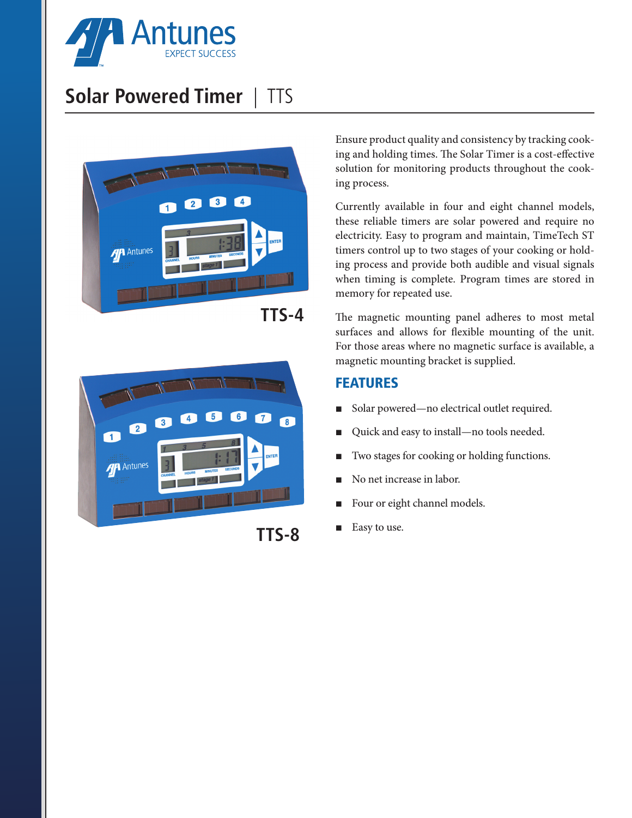

## **Solar Powered Timer** | TTS



**TTS-4**



**TTS-8**

Ensure product quality and consistency by tracking cooking and holding times. The Solar Timer is a cost-effective solution for monitoring products throughout the cooking process.

Currently available in four and eight channel models, these reliable timers are solar powered and require no electricity. Easy to program and maintain, TimeTech ST timers control up to two stages of your cooking or holding process and provide both audible and visual signals when timing is complete. Program times are stored in memory for repeated use.

The magnetic mounting panel adheres to most metal surfaces and allows for flexible mounting of the unit. For those areas where no magnetic surface is available, a magnetic mounting bracket is supplied.

## FEATURES

- Solar powered—no electrical outlet required.
- Quick and easy to install—no tools needed.
- Two stages for cooking or holding functions.
- No net increase in labor.
- Four or eight channel models.
- Easy to use.